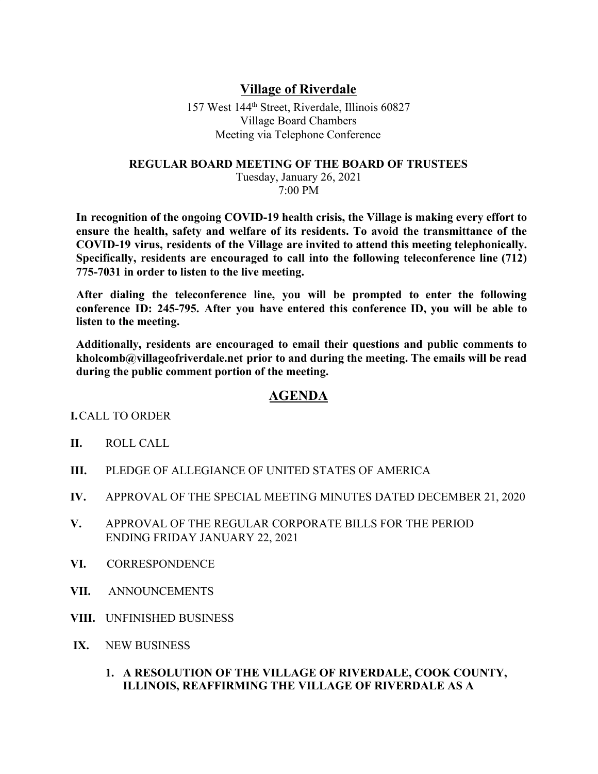## **Village of Riverdale**

157 West 144th Street, Riverdale, Illinois 60827 Village Board Chambers Meeting via Telephone Conference

## **REGULAR BOARD MEETING OF THE BOARD OF TRUSTEES**

Tuesday, January 26, 2021 7:00 PM

**In recognition of the ongoing COVID-19 health crisis, the Village is making every effort to ensure the health, safety and welfare of its residents. To avoid the transmittance of the COVID-19 virus, residents of the Village are invited to attend this meeting telephonically. Specifically, residents are encouraged to call into the following teleconference line (712) 775-7031 in order to listen to the live meeting.**

**After dialing the teleconference line, you will be prompted to enter the following conference ID: 245-795. After you have entered this conference ID, you will be able to listen to the meeting.**

**Additionally, residents are encouraged to email their questions and public comments to kholcomb@villageofriverdale.net prior to and during the meeting. The emails will be read during the public comment portion of the meeting.**

## **AGENDA**

**I.**CALL TO ORDER

- **II.** ROLL CALL
- **III.** PLEDGE OF ALLEGIANCE OF UNITED STATES OF AMERICA
- **IV.** APPROVAL OF THE SPECIAL MEETING MINUTES DATED DECEMBER 21, 2020
- **V.** APPROVAL OF THE REGULAR CORPORATE BILLS FOR THE PERIOD ENDING FRIDAY JANUARY 22, 2021
- **VI.** CORRESPONDENCE
- **VII.** ANNOUNCEMENTS
- **VIII.** UNFINISHED BUSINESS
- **IX.** NEW BUSINESS
	- **1. A RESOLUTION OF THE VILLAGE OF RIVERDALE, COOK COUNTY, ILLINOIS, REAFFIRMING THE VILLAGE OF RIVERDALE AS A**